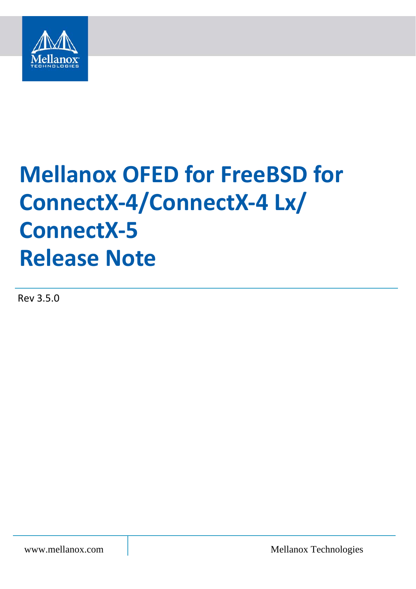

# **Mellanox OFED for FreeBSD for ConnectX-4/ConnectX-4 Lx/ ConnectX-5 Release Note**

Rev 3.5.0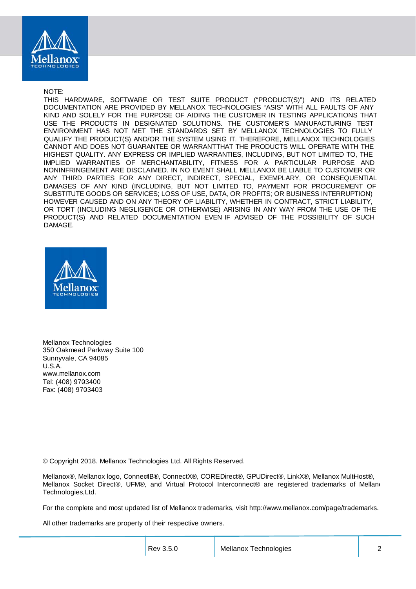

NOTE:

THIS HARDWARE, SOFTWARE OR TEST SUITE PRODUCT ("PRODUCT(S)") AND ITS RELATED DOCUMENTATION ARE PROVIDED BY MELLANOX TECHNOLOGIES "ASIS" WITH ALL FAULTS OF ANY KIND AND SOLELY FOR THE PURPOSE OF AIDING THE CUSTOMER IN TESTING APPLICATIONS THAT USE THE PRODUCTS IN DESIGNATED SOLUTIONS. THE CUSTOMER'S MANUFACTURING TEST ENVIRONMENT HAS NOT MET THE STANDARDS SET BY MELLANOX TECHNOLOGIES TO FULLY QUALIFY THE PRODUCT(S) AND/OR THE SYSTEM USING IT. THEREFORE, MELLANOX TECHNOLOGIES CANNOT AND DOES NOT GUARANTEE OR WARRANT THAT THE PRODUCTS WILL OPERATE WITH THE HIGHEST QUALITY. ANY EXPRESS OR IMPLIED WARRANTIES, INCLUDING, BUT NOT LIMITED TO, THE IMPLIED WARRANTIES OF MERCHANTABILITY, FITNESS FOR A PARTICULAR PURPOSE AND NONINFRINGEMENT ARE DISCLAIMED. IN NO EVENT SHALL MELLANOX BE LIABLE TO CUSTOMER OR ANY THIRD PARTIES FOR ANY DIRECT, INDIRECT, SPECIAL, EXEMPLARY, OR CONSEQUENTIAL DAMAGES OF ANY KIND (INCLUDING, BUT NOT LIMITED TO, PAYMENT FOR PROCUREMENT OF SUBSTITUTE GOODS OR SERVICES; LOSS OF USE, DATA, OR PROFITS; OR BUSINESS INTERRUPTION) HOWEVER CAUSED AND ON ANY THEORY OF LIABILITY, WHETHER IN CONTRACT, STRICT LIABILITY, OR TORT (INCLUDING NEGLIGENCE OR OTHERWISE) ARISING IN ANY WAY FROM THE USE OF THE PRODUCT(S) AND RELATED DOCUMENTATION EVEN IF ADVISED OF THE POSSIBILITY OF SUCH DAMAGE.



Mellanox Technologies 350 Oakmead Parkway Suite 100 Sunnyvale, CA 94085 U.S.A. www.mellanox.com Tel: (408) 9703400 Fax: (408) 9703403

© Copyright 2018. Mellanox Technologies Ltd. All Rights Reserved.

Mellanox®, Mellanox logo, ConnectB®, ConnectX®, COREDirect®, GPUDirect®, LinkX®, Mellanox MultiHost®, Mellanox Socket Direct®, UFM®, and Virtual Protocol Interconnect® are registered trademarks of Mellano Technologies, Ltd.

For the complete and most updated list of Mellanox trademarks, visit http://www.mellanox.com/page/trademarks.

All other trademarks are property of their respective owners.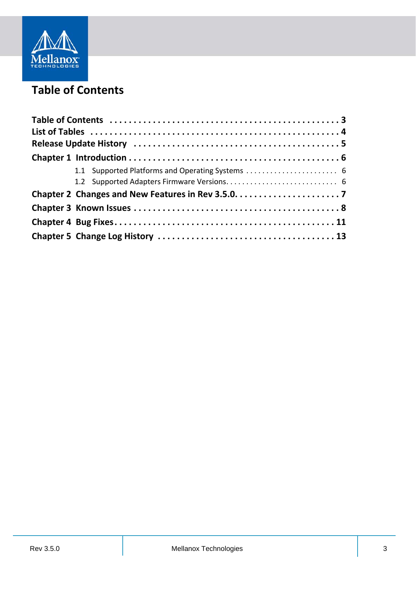

### <span id="page-2-0"></span>**Table of Contents**

| 1.1 Supported Platforms and Operating Systems  6 |  |  |
|--------------------------------------------------|--|--|
|                                                  |  |  |
|                                                  |  |  |
|                                                  |  |  |
|                                                  |  |  |
|                                                  |  |  |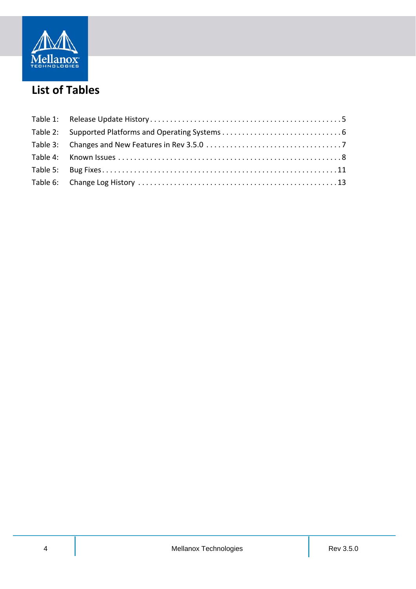

### <span id="page-3-0"></span>**List of Tables**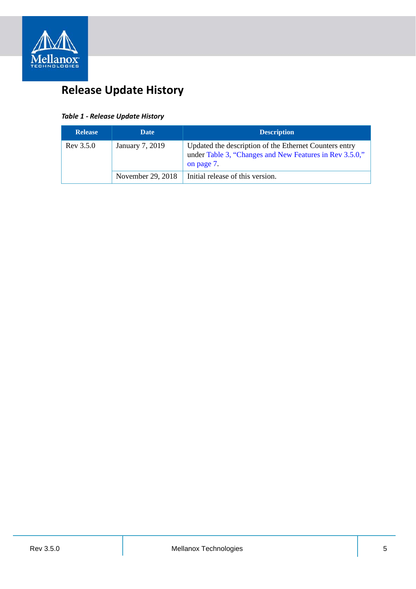

### <span id="page-4-0"></span>**Release Update History**

#### <span id="page-4-1"></span>*Table 1 - Release Update History*

| <b>Release</b> | <b>Date</b>       | <b>Description</b>                                                                                                              |
|----------------|-------------------|---------------------------------------------------------------------------------------------------------------------------------|
| Rev 3.5.0      | January 7, 2019   | Updated the description of the Ethernet Counters entry<br>under Table 3, "Changes and New Features in Rev 3.5.0,"<br>on page 7. |
|                | November 29, 2018 | Initial release of this version.                                                                                                |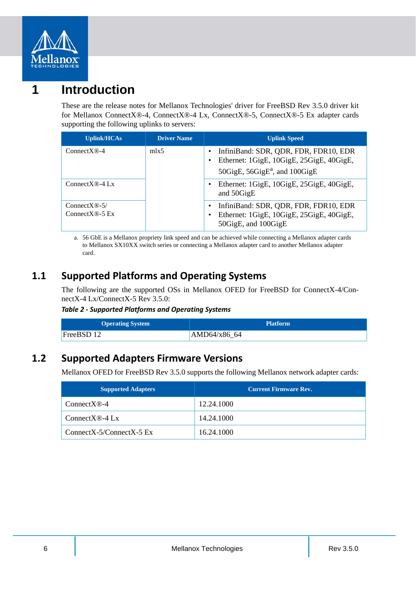

### <span id="page-5-0"></span>**1 Introduction**

These are the release notes for Mellanox Technologies' driver for FreeBSD Rev 3.5.0 driver kit for Mellanox ConnectX®-4, ConnectX®-4 Lx, ConnectX®-5, ConnectX®-5 Ex adapter cards supporting the following uplinks to servers:

| <b>Uplink/HCAs</b>                            | <b>Driver Name</b> | <b>Uplink Speed</b>                                                                                                     |
|-----------------------------------------------|--------------------|-------------------------------------------------------------------------------------------------------------------------|
| $ConnectX@-4$                                 | mlx <sub>5</sub>   | InfiniBand: SDR, QDR, FDR, FDR10, EDR<br>Ethernet: 1GigE, 10GigE, 25GigE, 40GigE,<br>50GigE, $56GigE^a$ , and $100GigE$ |
| Connect $X \otimes -4$ Lx                     |                    | Ethernet: 1GigE, 10GigE, 25GigE, 40GigE,<br>and 50GigE                                                                  |
| ConnectX $\mathbb{R}$ -5/<br>Connect $X@-5Ex$ |                    | InfiniBand: SDR, QDR, FDR, FDR10, EDR<br>Ethernet: 1GigE, 10GigE, 25GigE, 40GigE,<br>٠<br>50GigE, and 100GigE           |

a. 56 GbE is a Mellanox propriety link speed and can be achieved while connecting a Mellanox adapter cards to Mellanox SX10XX switch series or connecting a Mellanox adapter card to another Mellanox adapter card.

### <span id="page-5-1"></span>**1.1 Supported Platforms and Operating Systems**

The following are the supported OSs in Mellanox OFED for FreeBSD for ConnectX-4/ConnectX-4 Lx/ConnectX-5 Rev 3.5.0:

#### <span id="page-5-3"></span>*Table 2 - Supported Platforms and Operating Systems*

| <b>Operating System</b> | <b>Platform</b> |
|-------------------------|-----------------|
| FreeBSD 12              | AMD64/x8664     |

### <span id="page-5-2"></span>**1.2 Supported Adapters Firmware Versions**

Mellanox OFED for FreeBSD Rev 3.5.0 supports the following Mellanox network adapter cards:

| <b>Supported Adapters</b>  | <b>Current Firmware Rev.</b> |
|----------------------------|------------------------------|
| $ConnectX@-4$              | 12.24.1000                   |
| Connect $X \otimes -4$ Lx  | 14.24.1000                   |
| $ConnectX-5/ConnectX-5 Ex$ | 16.24.1000                   |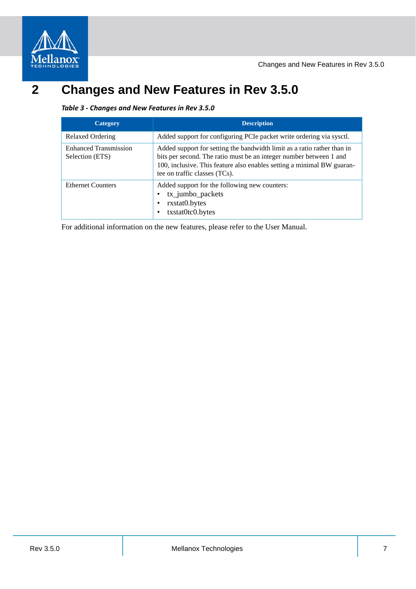

### <span id="page-6-1"></span><span id="page-6-0"></span>**2 Changes and New Features in Rev 3.5.0**

#### <span id="page-6-2"></span>*Table 3 - Changes and New Features in Rev 3.5.0*

| <b>Category</b>                                 | <b>Description</b>                                                                                                                                                                                                                                       |
|-------------------------------------------------|----------------------------------------------------------------------------------------------------------------------------------------------------------------------------------------------------------------------------------------------------------|
| Relaxed Ordering                                | Added support for configuring PCI epacket write ordering via sysct.                                                                                                                                                                                      |
| <b>Enhanced Transmission</b><br>Selection (ETS) | Added support for setting the bandwidth limit as a ratio rather than in<br>bits per second. The ratio must be an integer number between 1 and<br>100, inclusive. This feature also enables setting a minimal BW guaran-<br>tee on traffic classes (TCs). |
| <b>Ethernet Counters</b>                        | Added support for the following new counters:<br>tx_jumbo_packets<br>rxstat0.bytes<br>txstat0tc0.bytes                                                                                                                                                   |

For additional information on the new features, please refer to the User Manual.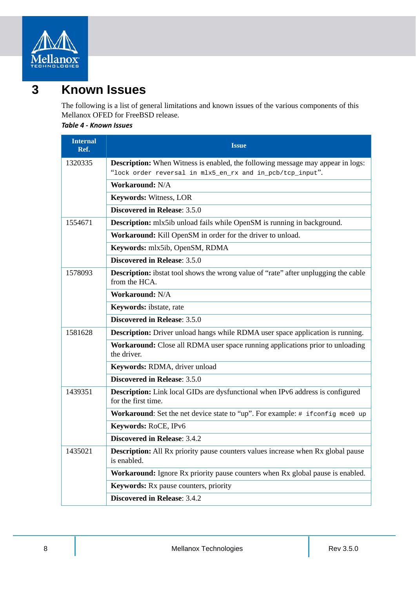

### <span id="page-7-0"></span>**3 Known Issues**

The following is a list of general limitations and known issues of the various components of this Mellanox OFED for FreeBSD release.

#### <span id="page-7-1"></span>*Table 4 - Known Issues*

| <b>Internal</b><br>Ref. | <b>Issue</b>                                                                                                 |
|-------------------------|--------------------------------------------------------------------------------------------------------------|
| 1320335                 | <b>Description:</b> When Witness is enabled, the following message may appear in logs:                       |
|                         | "lock order reversal in mlx5_en_rx and in_pcb/tcp_input".                                                    |
|                         | Workaround: N/A                                                                                              |
|                         | <b>Keywords: Witness, LOR</b>                                                                                |
|                         | Discovered in Release: 3.5.0                                                                                 |
| 1554671                 | <b>Description:</b> mlx5ib unload fails while OpenSM is running in background.                               |
|                         | Workaround: Kill OpenSM in order for the driver to unload.                                                   |
|                         | Keywords: mlx5ib, OpenSM, RDMA                                                                               |
|                         | Discovered in Release: 3.5.0                                                                                 |
| 1578093                 | <b>Description:</b> ibstat tool shows the wrong value of "rate" after unplugging the cable<br>from the HCA.  |
|                         | Workaround: N/A                                                                                              |
|                         | Keywords: ibstate, rate                                                                                      |
|                         | Discovered in Release: 3.5.0                                                                                 |
| 1581628                 | <b>Description:</b> Driver unload hangs while RDMA user space application is running.                        |
|                         | Workaround: Close all RDMA user space running applications prior to unloading<br>the driver.                 |
|                         | Keywords: RDMA, driver unload                                                                                |
|                         | Discovered in Release: 3.5.0                                                                                 |
| 1439351                 | <b>Description:</b> Link local GIDs are dysfunctional when IPv6 address is configured<br>for the first time. |
|                         | Workaround: Set the net device state to "up". For example: # if config more up                               |
|                         | Keywords: RoCE, IPv6                                                                                         |
|                         | <b>Discovered in Release: 3.4.2</b>                                                                          |
| 1435021                 | <b>Description:</b> All Rx priority pause counters values increase when Rx global pause<br>is enabled.       |
|                         | Workaround: Ignore Rx priority pause counters when Rx global pause is enabled.                               |
|                         | <b>Keywords:</b> Rx pause counters, priority                                                                 |
|                         | <b>Discovered in Release: 3.4.2</b>                                                                          |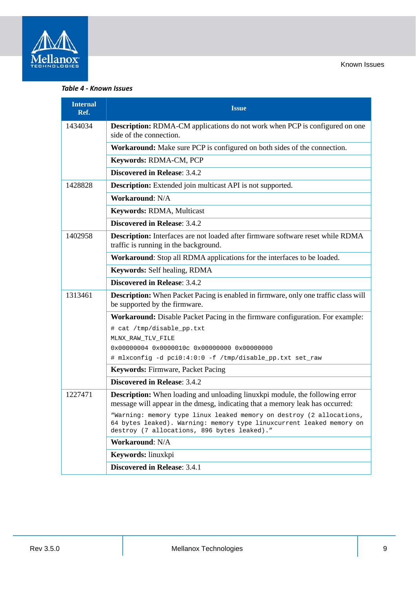

#### *Table 4 - Known Issues*

| <b>Internal</b><br>Ref. | <b>Issue</b>                                                                                                                                                                                |
|-------------------------|---------------------------------------------------------------------------------------------------------------------------------------------------------------------------------------------|
| 1434034                 | <b>Description:</b> RDMA-CM applications do not work when PCP is configured on one<br>side of the connection.                                                                               |
|                         | Workaround: Make sure PCP is configured on both sides of the connection.                                                                                                                    |
|                         | Keywords: RDMA-CM, PCP                                                                                                                                                                      |
|                         | <b>Discovered in Release: 3.4.2</b>                                                                                                                                                         |
| 1428828                 | <b>Description:</b> Extended join multicast API is not supported.                                                                                                                           |
|                         | Workaround: N/A                                                                                                                                                                             |
|                         | Keywords: RDMA, Multicast                                                                                                                                                                   |
|                         | <b>Discovered in Release: 3.4.2</b>                                                                                                                                                         |
| 1402958                 | <b>Description:</b> Interfaces are not loaded after firmware software reset while RDMA<br>traffic is running in the background.                                                             |
|                         | Workaround: Stop all RDMA applications for the interfaces to be loaded.                                                                                                                     |
|                         | Keywords: Self healing, RDMA                                                                                                                                                                |
|                         | <b>Discovered in Release: 3.4.2</b>                                                                                                                                                         |
| 1313461                 | Description: When Packet Pacing is enabled in firmware, only one traffic class will<br>be supported by the firmware.                                                                        |
|                         | Workaround: Disable Packet Pacing in the firmware configuration. For example:                                                                                                               |
|                         | # cat /tmp/disable_pp.txt                                                                                                                                                                   |
|                         | MLNX_RAW_TLV_FILE                                                                                                                                                                           |
|                         | 0x00000004 0x0000010c 0x00000000 0x00000000<br># mlxconfig -d pci0:4:0:0 -f /tmp/disable_pp.txt set_raw                                                                                     |
|                         | <b>Keywords: Firmware, Packet Pacing</b>                                                                                                                                                    |
|                         | <b>Discovered in Release: 3.4.2</b>                                                                                                                                                         |
| 1227471                 | <b>Description:</b> When loading and unloading linuxkpi module, the following error<br>message will appear in the dmesg, indicating that a memory leak has occurred:                        |
|                         | "Warning: memory type linux leaked memory on destroy (2 allocations,<br>64 bytes leaked). Warning: memory type linuxcurrent leaked memory on<br>destroy (7 allocations, 896 bytes leaked)." |
|                         | Workaround: N/A                                                                                                                                                                             |
|                         | Keywords: linuxkpi                                                                                                                                                                          |
|                         | Discovered in Release: 3.4.1                                                                                                                                                                |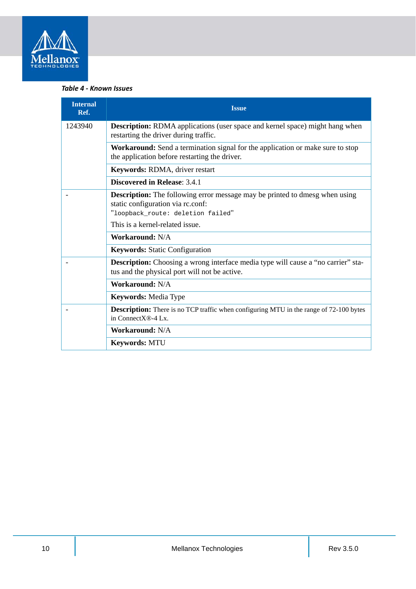

#### *Table 4 - Known Issues*

| <b>Internal</b><br>Ref. | <b>Issue</b>                                                                                                                                                 |
|-------------------------|--------------------------------------------------------------------------------------------------------------------------------------------------------------|
| 1243940                 | <b>Description:</b> RDMA applications (user space and kernel space) might hang when<br>restarting the driver during traffic.                                 |
|                         | Workaround: Send a termination signal for the application or make sure to stop<br>the application before restarting the driver.                              |
|                         | Keywords: RDMA, driver restart                                                                                                                               |
|                         | <b>Discovered in Release: 3.4.1</b>                                                                                                                          |
|                         | <b>Description:</b> The following error message may be printed to dmesg when using<br>static configuration via rc.conf:<br>"loopback_route: deletion failed" |
|                         | This is a kernel-related issue.                                                                                                                              |
|                         | <b>Workaround: N/A</b>                                                                                                                                       |
|                         | <b>Keywords:</b> Static Configuration                                                                                                                        |
|                         | <b>Description:</b> Choosing a wrong interface media type will cause a "no carrier" sta-<br>tus and the physical port will not be active.                    |
|                         | <b>Workaround: N/A</b>                                                                                                                                       |
|                         | <b>Keywords: Media Type</b>                                                                                                                                  |
|                         | <b>Description:</b> There is no TCP traffic when configuring MTU in the range of 72-100 bytes<br>in ConnectX®-4 Lx.                                          |
|                         | <b>Workaround: N/A</b>                                                                                                                                       |
|                         | <b>Keywords: MTU</b>                                                                                                                                         |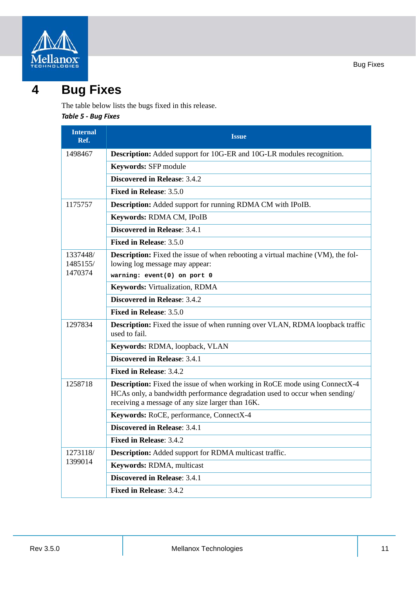



## <span id="page-10-1"></span><span id="page-10-0"></span>**4 Bug Fixes**

The table below lists the bugs fixed in this release. *Table 5 - Bug Fixes*

| <b>Internal</b><br>Ref.         | <b>Issue</b>                                                                                                                                                                                                        |
|---------------------------------|---------------------------------------------------------------------------------------------------------------------------------------------------------------------------------------------------------------------|
| 1498467                         | <b>Description:</b> Added support for 10G-ER and 10G-LR modules recognition.                                                                                                                                        |
|                                 | Keywords: SFP module                                                                                                                                                                                                |
|                                 | <b>Discovered in Release: 3.4.2</b>                                                                                                                                                                                 |
|                                 | Fixed in Release: 3.5.0                                                                                                                                                                                             |
| 1175757                         | <b>Description:</b> Added support for running RDMA CM with IPoIB.                                                                                                                                                   |
|                                 | Keywords: RDMA CM, IPoIB                                                                                                                                                                                            |
|                                 | <b>Discovered in Release: 3.4.1</b>                                                                                                                                                                                 |
|                                 | Fixed in Release: 3.5.0                                                                                                                                                                                             |
| 1337448/<br>1485155/<br>1470374 | <b>Description:</b> Fixed the issue of when rebooting a virtual machine (VM), the fol-<br>lowing log message may appear:<br>warning: event(0) on port 0                                                             |
|                                 | Keywords: Virtualization, RDMA                                                                                                                                                                                      |
|                                 | <b>Discovered in Release: 3.4.2</b>                                                                                                                                                                                 |
|                                 | <b>Fixed in Release: 3.5.0</b>                                                                                                                                                                                      |
| 1297834                         | Description: Fixed the issue of when running over VLAN, RDMA loopback traffic<br>used to fail.                                                                                                                      |
|                                 | Keywords: RDMA, loopback, VLAN                                                                                                                                                                                      |
|                                 | <b>Discovered in Release: 3.4.1</b>                                                                                                                                                                                 |
|                                 | <b>Fixed in Release: 3.4.2</b>                                                                                                                                                                                      |
| 1258718                         | <b>Description:</b> Fixed the issue of when working in RoCE mode using ConnectX-4<br>HCAs only, a bandwidth performance degradation used to occur when sending/<br>receiving a message of any size larger than 16K. |
|                                 | Keywords: RoCE, performance, ConnectX-4                                                                                                                                                                             |
|                                 | <b>Discovered in Release: 3.4.1</b>                                                                                                                                                                                 |
|                                 | Fixed in Release: 3.4.2                                                                                                                                                                                             |
| 1273118/<br>1399014             | <b>Description:</b> Added support for RDMA multicast traffic.                                                                                                                                                       |
|                                 | Keywords: RDMA, multicast                                                                                                                                                                                           |
|                                 | Discovered in Release: 3.4.1                                                                                                                                                                                        |
|                                 | Fixed in Release: 3.4.2                                                                                                                                                                                             |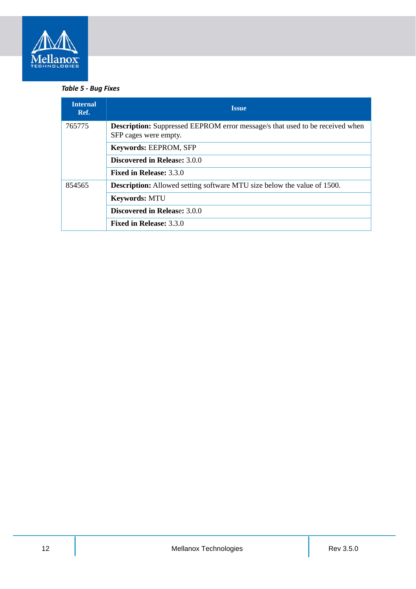

#### *Table 5 - Bug Fixes*

| <b>Internal</b><br>Ref. | <b>Issue</b>                                                                                                 |
|-------------------------|--------------------------------------------------------------------------------------------------------------|
| 765775                  | <b>Description:</b> Suppressed EEPROM error message/s that used to be received when<br>SFP cages were empty. |
|                         | Keywords: EEPROM, SFP                                                                                        |
|                         | <b>Discovered in Release: 3.0.0</b>                                                                          |
|                         | <b>Fixed in Release: 3.3.0</b>                                                                               |
| 854565                  | <b>Description:</b> Allowed setting software MTU size below the value of 1500.                               |
|                         | <b>Keywords: MTU</b>                                                                                         |
|                         | <b>Discovered in Release: 3.0.0</b>                                                                          |
|                         | <b>Fixed in Release: 3.3.0</b>                                                                               |